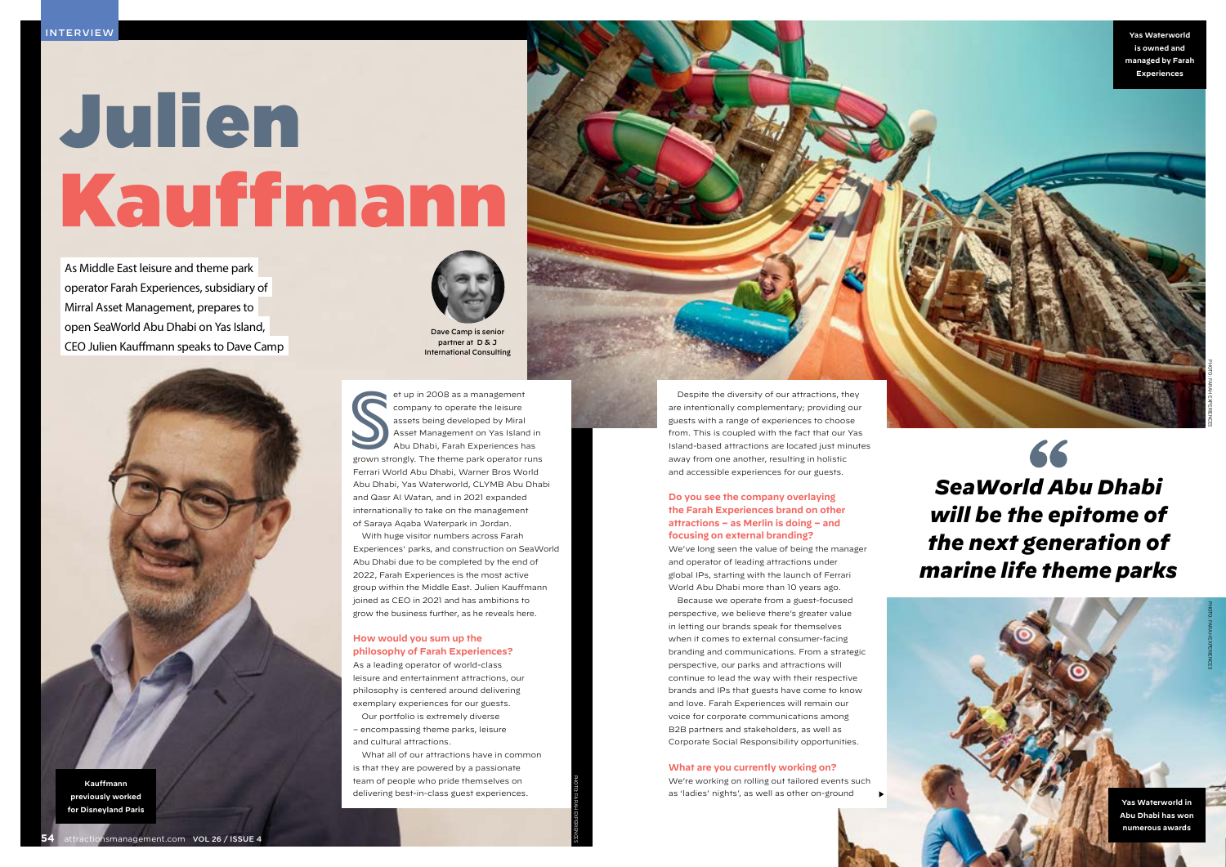attractionsmanagement.com Vol 26 / ISSUE 4 **55**

# Julien Kauffmann

As Middle East leisure and theme park operator Farah Experiences, subsidiary of Mirral Asset Management, prepares to open SeaWorld Abu Dhabi on Yas Island, CEO Julien Kauffmann speaks to Dave Camp





guests with a range of experiences to choose from. This is coupled with the fact that our Yas Island-based attractions are located just minutes away from one another, resulting in holistic and accessible experiences for our guests.

# **Do you see the company overlaying the Farah Experiences brand on other attractions – as Merlin is doing – and focusing on external branding?**

We've long seen the value of being the manager and operator of leading attractions under global IPs, starting with the launch of Ferrari World Abu Dhabi more than 10 years ago.

et up in 2008 as a management<br>
company to operate the leisure<br>
assets being developed by Miral<br>
Abu Dhabi, Farah Experiences has<br>
grown strongly. The theme park operator runs et up in 2008 as a management company to operate the leisure assets being developed by Miral Asset Management on Yas Island in Abu Dhabi, Farah Experiences has Ferrari World Abu Dhabi, Warner Bros World Abu Dhabi, Yas Waterworld, CLYMB Abu Dhabi and Qasr Al Watan, and in 2021 expanded internationally to take on the management of Saraya Aqaba Waterpark in Jordan.

> Because we operate from a guest-focused perspective, we believe there's greater value in letting our brands speak for themselves when it comes to external consumer-facing branding and communications. From a strategic perspective, our parks and attractions will continue to lead the way with their respective brands and IPs that guests have come to know and love. Farah Experiences will remain our voice for corporate communications among B2B partners and stakeholders, as well as Corporate Social Responsibility opportunities.

Dave Camp is senic partner at D & J International Consulting

#### **What are you currently working on?**

We're working on rolling out tailored events such as 'ladies' nights', as well as other on-ground

66

**Kauffmann previously worked for Disneyland Paris**



With huge visitor numbers across Farah Experiences' parks, and construction on SeaWorld Abu Dhabi due to be completed by the end of 2022, Farah Experiences is the most active group within the Middle East. Julien Kauffmann joined as CEO in 2021 and has ambitions to grow the business further, as he reveals here.

# **How would you sum up the philosophy of Farah Experiences?**

As a leading operator of world-class leisure and entertainment attractions, our philosophy is centered around delivering exemplary experiences for our guests.

Our portfolio is extremely diverse – encompassing theme parks, leisure and cultural attractions.

What all of our attractions have in common is that they are powered by a passionate team of people who pride themselves on delivering best-in-class guest experiences.

# *SeaWorld Abu Dhabi will be the epitome of the next generation of marine life theme parks*

**Yas Waterworld in Abu Dhabi has won numerous awards** PHOTO: Farah Experiences

PHOTO: Farah Experiences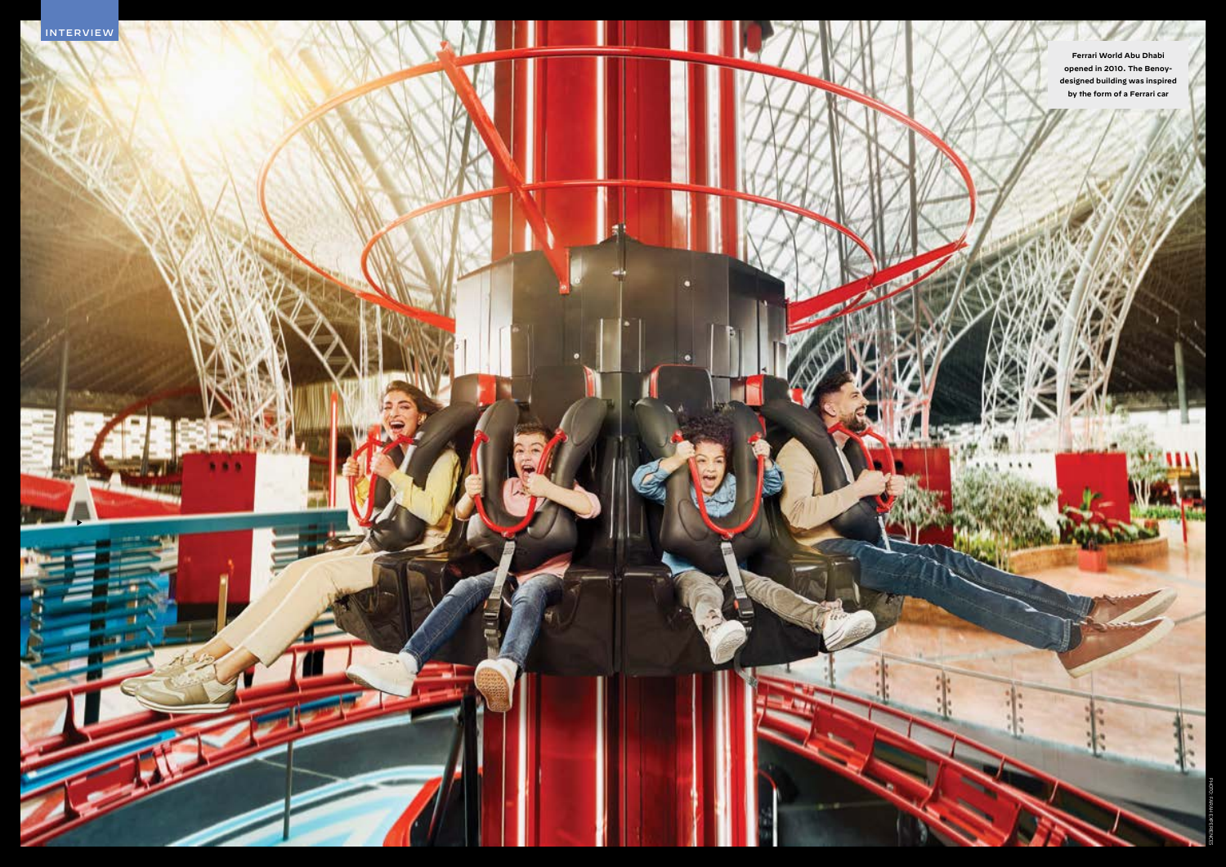

**Ferrari World Abu Dhabi opened in 2010. The Benoydesigned building was inspired by the form of a Ferrari car**

t,

 $\mathcal{L}$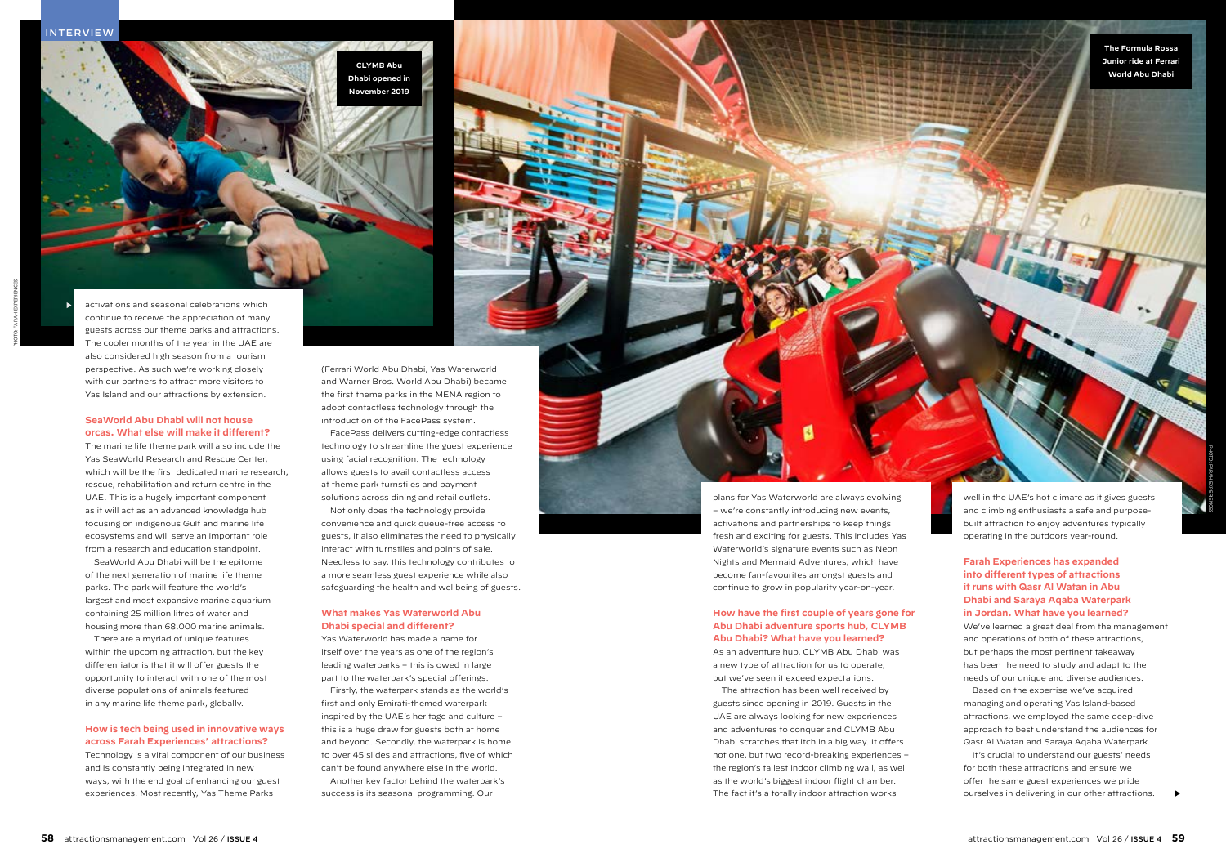**Mincil eatem et prae pratet dolutem fugit lanitat liquiat ut as dolore venim nissunt**

(Ferrari World Abu Dhabi, Yas Waterworld and Warner Bros. World Abu Dhabi) became the first theme parks in the MENA region to adopt contactless technology through the introduction of the FacePass system. FacePass delivers cutting-edge contactless technology to streamline the guest experience using facial recognition. The technology allows guests to avail contactless access at theme park turnstiles and payment solutions across dining and retail outlets.

Not only does the technology provide convenience and quick queue-free access to guests, it also eliminates the need to physically interact with turnstiles and points of sale. Needless to say, this technology contributes to a more seamless guest experience while also safeguarding the health and wellbeing of guests.

# **What makes Yas Waterworld Abu Dhabi special and different?**

Yas Waterworld has made a name for itself over the years as one of the region's leading waterparks – this is owed in large part to the waterpark's special offerings.

Firstly, the waterpark stands as the world's first and only Emirati-themed waterpark inspired by the UAE's heritage and culture – this is a huge draw for guests both at home and beyond. Secondly, the waterpark is home to over 45 slides and attractions, five of which can't be found anywhere else in the world. Another key factor behind the waterpark's

success is its seasonal programming. Our



### **How have the first couple of years gone for Abu Dhabi adventure sports hub, CLYMB Abu Dhabi? What have you learned?**

As an adventure hub, CLYMB Abu Dhabi was a new type of attraction for us to operate, but we've seen it exceed expectations.

The attraction has been well received by guests since opening in 2019. Guests in the UAE are always looking for new experiences and adventures to conquer and CLYMB Abu Dhabi scratches that itch in a big way. It offers not one, but two record-breaking experiences – the region's tallest indoor climbing wall, as well as the world's biggest indoor flight chamber. The fact it's a totally indoor attraction works

well in the UAE's hot climate as it gives guests and climbing enthusiasts a safe and purposebuilt attraction to enjoy adventures typically operating in the outdoors year-round.

**Farah Experiences has expanded into different types of attractions it runs with Qasr Al Watan in Abu Dhabi and Saraya Aqaba Waterpark in Jordan. What have you learned?** We've learned a great deal from the management and operations of both of these attractions,

but perhaps the most pertinent takeaway has been the need to study and adapt to the needs of our unique and diverse audiences.

Based on the expertise we've acquired managing and operating Yas Island-based attractions, we employed the same deep-dive approach to best understand the audiences for Qasr Al Watan and Saraya Aqaba Waterpark.

It's crucial to understand our guests' needs for both these attractions and ensure we offer the same guest experiences we pride ourselves in delivering in our other attractions.

activations and seasonal celebrations which continue to receive the appreciation of many guests across our theme parks and attractions. The cooler months of the year in the UAE are also considered high season from a tourism perspective. As such we're working closely with our partners to attract more visitors to Yas Island and our attractions by extension.

# **SeaWorld Abu Dhabi will not house orcas. What else will make it different?**

The marine life theme park will also include the Yas SeaWorld Research and Rescue Center, which will be the first dedicated marine research, rescue, rehabilitation and return centre in the UAE. This is a hugely important component as it will act as an advanced knowledge hub focusing on indigenous Gulf and marine life ecosystems and will serve an important role from a research and education standpoint.

SeaWorld Abu Dhabi will be the epitome of the next generation of marine life theme parks. The park will feature the world's largest and most expansive marine aquarium containing 25 million litres of water and housing more than 68,000 marine animals.

There are a myriad of unique features within the upcoming attraction, but the key differentiator is that it will offer guests the opportunity to interact with one of the most diverse populations of animals featured in any marine life theme park, globally.

# **How is tech being used in innovative ways across Farah Experiences' attractions?**

Technology is a vital component of our business and is constantly being integrated in new ways, with the end goal of enhancing our guest experiences. Most recently, Yas Theme Parks

**The Formula Rossa Junior ride at Ferrari World Abu Dhabi**

# **INTERVIEW**



PHOTO: Farah Experiences

 $\blacktriangleright$